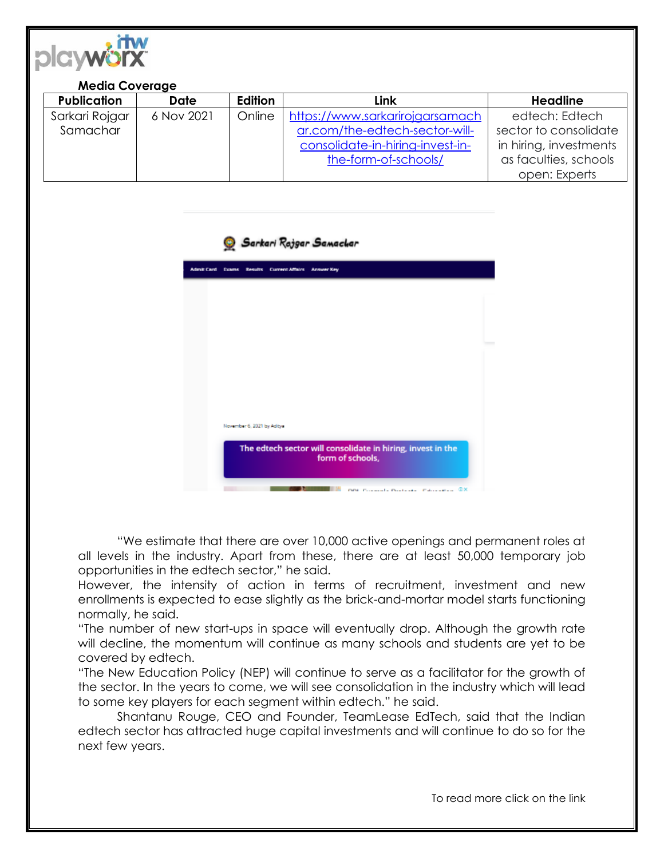

## **Media Coverage**

| <b>Publication</b> | <b>Date</b> | Edition | Link                             | <b>Headline</b>        |
|--------------------|-------------|---------|----------------------------------|------------------------|
| Sarkari Rojgar     | 6 Nov 2021  | Online  | https://www.sarkarirojgarsamach  | edtech: Edtech         |
| Samachar           |             |         | ar.com/the-edtech-sector-will-   | sector to consolidate  |
|                    |             |         | consolidate-in-hiring-invest-in- | in hiring, investments |
|                    |             |         | the-form-of-schools/             | as faculties, schools  |
|                    |             |         |                                  | open: Experts          |





"We estimate that there are over 10,000 active openings and permanent roles at all levels in the industry. Apart from these, there are at least 50,000 temporary job opportunities in the edtech sector," he said.

However, the intensity of action in terms of recruitment, investment and new enrollments is expected to ease slightly as the brick-and-mortar model starts functioning normally, he said.

"The number of new start-ups in space will eventually drop. Although the growth rate will decline, the momentum will continue as many schools and students are yet to be covered by edtech.

"The New Education Policy (NEP) will continue to serve as a facilitator for the growth of the sector. In the years to come, we will see consolidation in the industry which will lead to some key players for each segment within edtech." he said.

Shantanu Rouge, CEO and Founder, TeamLease EdTech, said that the Indian edtech sector has attracted huge capital investments and will continue to do so for the next few years.

To read more click on the link